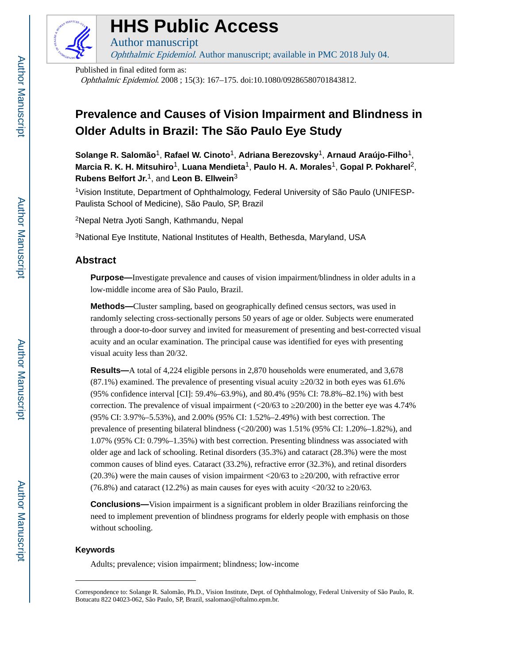

## **HHS Public Access**

Author manuscript Ophthalmic Epidemiol. Author manuscript; available in PMC 2018 July 04.

Published in final edited form as:

Ophthalmic Epidemiol. 2008 ; 15(3): 167–175. doi:10.1080/09286580701843812.

### **Prevalence and Causes of Vision Impairment and Blindness in Older Adults in Brazil: The São Paulo Eye Study**

**Solange R. Salomão**1, **Rafael W. Cinoto**1, **Adriana Berezovsky**1, **Arnaud Araújo-Filho**1, **Marcia R. K. H. Mitsuhiro**1, **Luana Mendieta**1, **Paulo H. A. Morales**1, **Gopal P. Pokharel**2, **Rubens Belfort Jr.**1, and **Leon B. Ellwein**<sup>3</sup>

1Vision Institute, Department of Ophthalmology, Federal University of São Paulo (UNIFESP-Paulista School of Medicine), São Paulo, SP, Brazil

<sup>2</sup>Nepal Netra Jyoti Sangh, Kathmandu, Nepal

<sup>3</sup>National Eye Institute, National Institutes of Health, Bethesda, Maryland, USA

#### **Abstract**

**Purpose—**Investigate prevalence and causes of vision impairment/blindness in older adults in a low-middle income area of São Paulo, Brazil.

**Methods—**Cluster sampling, based on geographically defined census sectors, was used in randomly selecting cross-sectionally persons 50 years of age or older. Subjects were enumerated through a door-to-door survey and invited for measurement of presenting and best-corrected visual acuity and an ocular examination. The principal cause was identified for eyes with presenting visual acuity less than 20/32.

**Results—**A total of 4,224 eligible persons in 2,870 households were enumerated, and 3,678 (87.1%) examined. The prevalence of presenting visual acuity ≥20/32 in both eyes was 61.6% (95% confidence interval [CI]: 59.4%–63.9%), and 80.4% (95% CI: 78.8%–82.1%) with best correction. The prevalence of visual impairment  $\left( \langle 20/63 \text{ to } 20/200 \right)$  in the better eye was 4.74% (95% CI: 3.97%–5.53%), and 2.00% (95% CI: 1.52%–2.49%) with best correction. The prevalence of presenting bilateral blindness (<20/200) was 1.51% (95% CI: 1.20%–1.82%), and 1.07% (95% CI: 0.79%–1.35%) with best correction. Presenting blindness was associated with older age and lack of schooling. Retinal disorders (35.3%) and cataract (28.3%) were the most common causes of blind eyes. Cataract (33.2%), refractive error (32.3%), and retinal disorders (20.3%) were the main causes of vision impairment <20/63 to ≥20/200, with refractive error (76.8%) and cataract (12.2%) as main causes for eyes with acuity <20/32 to  $20/63$ .

**Conclusions—**Vision impairment is a significant problem in older Brazilians reinforcing the need to implement prevention of blindness programs for elderly people with emphasis on those without schooling.

#### **Keywords**

Adults; prevalence; vision impairment; blindness; low-income

Correspondence to: Solange R. Salomão, Ph.D., Vision Institute, Dept. of Ophthalmology, Federal University of São Paulo, R. Botucatu 822 04023-062, São Paulo, SP, Brazil, ssalomao@oftalmo.epm.br.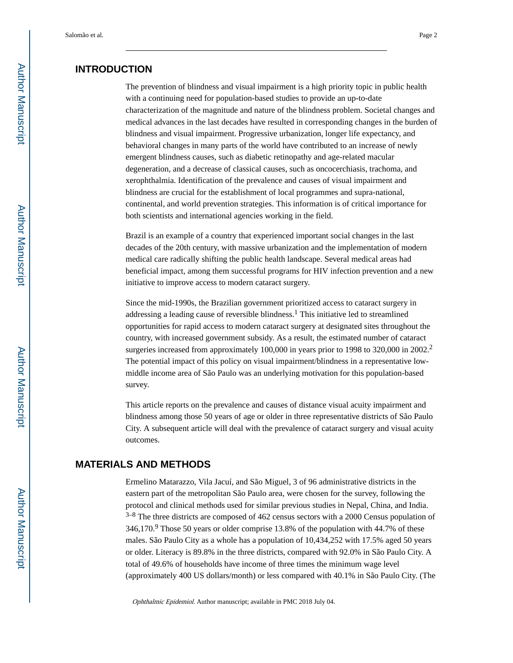#### **INTRODUCTION**

The prevention of blindness and visual impairment is a high priority topic in public health with a continuing need for population-based studies to provide an up-to-date characterization of the magnitude and nature of the blindness problem. Societal changes and medical advances in the last decades have resulted in corresponding changes in the burden of blindness and visual impairment. Progressive urbanization, longer life expectancy, and behavioral changes in many parts of the world have contributed to an increase of newly emergent blindness causes, such as diabetic retinopathy and age-related macular degeneration, and a decrease of classical causes, such as oncocerchiasis, trachoma, and xerophthalmia. Identification of the prevalence and causes of visual impairment and blindness are crucial for the establishment of local programmes and supra-national, continental, and world prevention strategies. This information is of critical importance for both scientists and international agencies working in the field.

Brazil is an example of a country that experienced important social changes in the last decades of the 20th century, with massive urbanization and the implementation of modern medical care radically shifting the public health landscape. Several medical areas had beneficial impact, among them successful programs for HIV infection prevention and a new initiative to improve access to modern cataract surgery.

Since the mid-1990s, the Brazilian government prioritized access to cataract surgery in addressing a leading cause of reversible blindness.<sup>1</sup> This initiative led to streamlined opportunities for rapid access to modern cataract surgery at designated sites throughout the country, with increased government subsidy. As a result, the estimated number of cataract surgeries increased from approximately 100,000 in years prior to 1998 to 320,000 in 2002.<sup>2</sup> The potential impact of this policy on visual impairment/blindness in a representative lowmiddle income area of São Paulo was an underlying motivation for this population-based survey.

This article reports on the prevalence and causes of distance visual acuity impairment and blindness among those 50 years of age or older in three representative districts of São Paulo City. A subsequent article will deal with the prevalence of cataract surgery and visual acuity outcomes.

#### **MATERIALS AND METHODS**

Ermelino Matarazzo, Vila Jacuí, and São Miguel, 3 of 96 administrative districts in the eastern part of the metropolitan São Paulo area, were chosen for the survey, following the protocol and clinical methods used for similar previous studies in Nepal, China, and India.  $3-8$  The three districts are composed of 462 census sectors with a 2000 Census population of 346,170.<sup>9</sup> Those 50 years or older comprise 13.8% of the population with 44.7% of these males. São Paulo City as a whole has a population of 10,434,252 with 17.5% aged 50 years or older. Literacy is 89.8% in the three districts, compared with 92.0% in São Paulo City. A total of 49.6% of households have income of three times the minimum wage level (approximately 400 US dollars/month) or less compared with 40.1% in São Paulo City. (The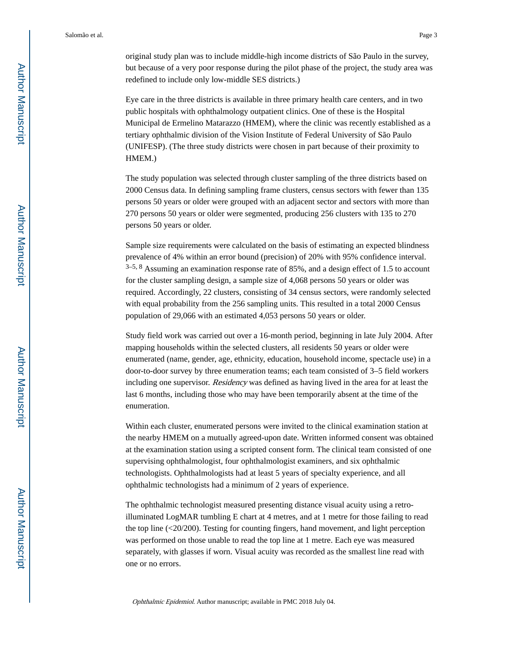original study plan was to include middle-high income districts of São Paulo in the survey, but because of a very poor response during the pilot phase of the project, the study area was redefined to include only low-middle SES districts.)

Eye care in the three districts is available in three primary health care centers, and in two public hospitals with ophthalmology outpatient clinics. One of these is the Hospital Municipal de Ermelino Matarazzo (HMEM), where the clinic was recently established as a tertiary ophthalmic division of the Vision Institute of Federal University of São Paulo (UNIFESP). (The three study districts were chosen in part because of their proximity to HMEM.)

The study population was selected through cluster sampling of the three districts based on 2000 Census data. In defining sampling frame clusters, census sectors with fewer than 135 persons 50 years or older were grouped with an adjacent sector and sectors with more than 270 persons 50 years or older were segmented, producing 256 clusters with 135 to 270 persons 50 years or older.

Sample size requirements were calculated on the basis of estimating an expected blindness prevalence of 4% within an error bound (precision) of 20% with 95% confidence interval.  $3-5, 8$  Assuming an examination response rate of 85%, and a design effect of 1.5 to account for the cluster sampling design, a sample size of 4,068 persons 50 years or older was required. Accordingly, 22 clusters, consisting of 34 census sectors, were randomly selected with equal probability from the 256 sampling units. This resulted in a total 2000 Census population of 29,066 with an estimated 4,053 persons 50 years or older.

Study field work was carried out over a 16-month period, beginning in late July 2004. After mapping households within the selected clusters, all residents 50 years or older were enumerated (name, gender, age, ethnicity, education, household income, spectacle use) in a door-to-door survey by three enumeration teams; each team consisted of 3–5 field workers including one supervisor. *Residency* was defined as having lived in the area for at least the last 6 months, including those who may have been temporarily absent at the time of the enumeration.

Within each cluster, enumerated persons were invited to the clinical examination station at the nearby HMEM on a mutually agreed-upon date. Written informed consent was obtained at the examination station using a scripted consent form. The clinical team consisted of one supervising ophthalmologist, four ophthalmologist examiners, and six ophthalmic technologists. Ophthalmologists had at least 5 years of specialty experience, and all ophthalmic technologists had a minimum of 2 years of experience.

The ophthalmic technologist measured presenting distance visual acuity using a retroilluminated LogMAR tumbling E chart at 4 metres, and at 1 metre for those failing to read the top line (<20/200). Testing for counting fingers, hand movement, and light perception was performed on those unable to read the top line at 1 metre. Each eye was measured separately, with glasses if worn. Visual acuity was recorded as the smallest line read with one or no errors.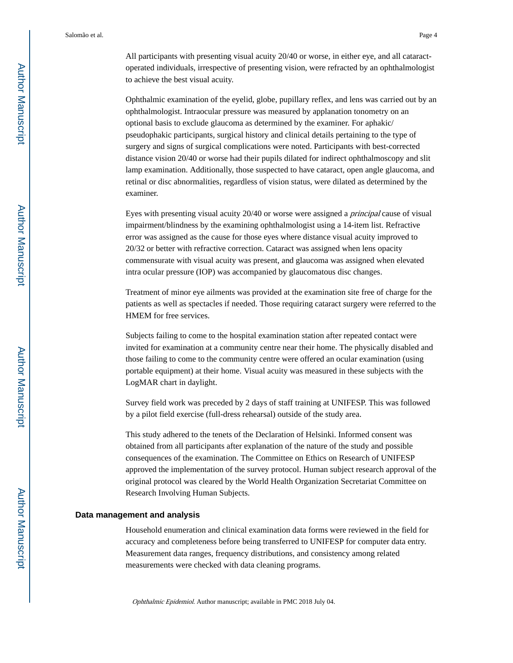All participants with presenting visual acuity 20/40 or worse, in either eye, and all cataractoperated individuals, irrespective of presenting vision, were refracted by an ophthalmologist to achieve the best visual acuity.

Ophthalmic examination of the eyelid, globe, pupillary reflex, and lens was carried out by an ophthalmologist. Intraocular pressure was measured by applanation tonometry on an optional basis to exclude glaucoma as determined by the examiner. For aphakic/ pseudophakic participants, surgical history and clinical details pertaining to the type of surgery and signs of surgical complications were noted. Participants with best-corrected distance vision 20/40 or worse had their pupils dilated for indirect ophthalmoscopy and slit lamp examination. Additionally, those suspected to have cataract, open angle glaucoma, and retinal or disc abnormalities, regardless of vision status, were dilated as determined by the examiner.

Eyes with presenting visual acuity 20/40 or worse were assigned a principal cause of visual impairment/blindness by the examining ophthalmologist using a 14-item list. Refractive error was assigned as the cause for those eyes where distance visual acuity improved to 20/32 or better with refractive correction. Cataract was assigned when lens opacity commensurate with visual acuity was present, and glaucoma was assigned when elevated intra ocular pressure (IOP) was accompanied by glaucomatous disc changes.

Treatment of minor eye ailments was provided at the examination site free of charge for the patients as well as spectacles if needed. Those requiring cataract surgery were referred to the HMEM for free services.

Subjects failing to come to the hospital examination station after repeated contact were invited for examination at a community centre near their home. The physically disabled and those failing to come to the community centre were offered an ocular examination (using portable equipment) at their home. Visual acuity was measured in these subjects with the LogMAR chart in daylight.

Survey field work was preceded by 2 days of staff training at UNIFESP. This was followed by a pilot field exercise (full-dress rehearsal) outside of the study area.

This study adhered to the tenets of the Declaration of Helsinki. Informed consent was obtained from all participants after explanation of the nature of the study and possible consequences of the examination. The Committee on Ethics on Research of UNIFESP approved the implementation of the survey protocol. Human subject research approval of the original protocol was cleared by the World Health Organization Secretariat Committee on Research Involving Human Subjects.

#### **Data management and analysis**

Household enumeration and clinical examination data forms were reviewed in the field for accuracy and completeness before being transferred to UNIFESP for computer data entry. Measurement data ranges, frequency distributions, and consistency among related measurements were checked with data cleaning programs.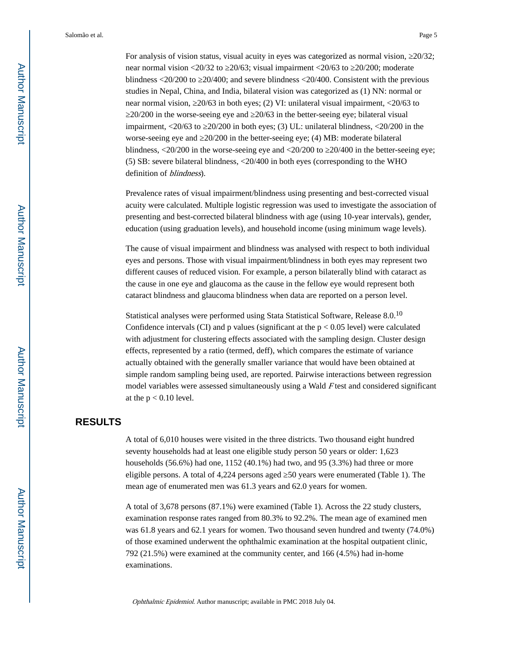Salomão et al. Page 5

For analysis of vision status, visual acuity in eyes was categorized as normal vision, ≥20/32; near normal vision <20/32 to ≥20/63; visual impairment <20/63 to ≥20/200; moderate blindness <20/200 to ≥20/400; and severe blindness <20/400. Consistent with the previous studies in Nepal, China, and India, bilateral vision was categorized as (1) NN: normal or near normal vision, ≥20/63 in both eyes; (2) VI: unilateral visual impairment, <20/63 to ≥20/200 in the worse-seeing eye and ≥20/63 in the better-seeing eye; bilateral visual impairment, <20/63 to ≥20/200 in both eyes; (3) UL: unilateral blindness, <20/200 in the worse-seeing eye and 20/200 in the better-seeing eye; (4) MB: moderate bilateral blindness,  $\langle 20/200$  in the worse-seeing eye and  $\langle 20/200$  to  $20/400$  in the better-seeing eye; (5) SB: severe bilateral blindness, <20/400 in both eyes (corresponding to the WHO definition of *blindness*).

Prevalence rates of visual impairment/blindness using presenting and best-corrected visual acuity were calculated. Multiple logistic regression was used to investigate the association of presenting and best-corrected bilateral blindness with age (using 10-year intervals), gender, education (using graduation levels), and household income (using minimum wage levels).

The cause of visual impairment and blindness was analysed with respect to both individual eyes and persons. Those with visual impairment/blindness in both eyes may represent two different causes of reduced vision. For example, a person bilaterally blind with cataract as the cause in one eye and glaucoma as the cause in the fellow eye would represent both cataract blindness and glaucoma blindness when data are reported on a person level.

Statistical analyses were performed using Stata Statistical Software, Release 8.0.<sup>10</sup> Confidence intervals (CI) and p values (significant at the  $p < 0.05$  level) were calculated with adjustment for clustering effects associated with the sampling design. Cluster design effects, represented by a ratio (termed, deff), which compares the estimate of variance actually obtained with the generally smaller variance that would have been obtained at simple random sampling being used, are reported. Pairwise interactions between regression model variables were assessed simultaneously using a Wald F test and considered significant at the  $p < 0.10$  level.

#### **RESULTS**

A total of 6,010 houses were visited in the three districts. Two thousand eight hundred seventy households had at least one eligible study person 50 years or older: 1,623 households (56.6%) had one, 1152 (40.1%) had two, and 95 (3.3%) had three or more eligible persons. A total of 4,224 persons aged 50 years were enumerated (Table 1). The mean age of enumerated men was 61.3 years and 62.0 years for women.

A total of 3,678 persons (87.1%) were examined (Table 1). Across the 22 study clusters, examination response rates ranged from 80.3% to 92.2%. The mean age of examined men was 61.8 years and 62.1 years for women. Two thousand seven hundred and twenty (74.0%) of those examined underwent the ophthalmic examination at the hospital outpatient clinic, 792 (21.5%) were examined at the community center, and 166 (4.5%) had in-home examinations.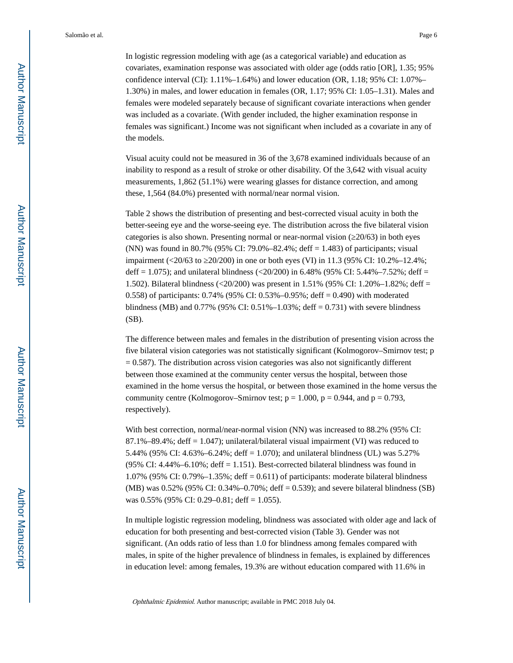Salomão et al. Page 6

In logistic regression modeling with age (as a categorical variable) and education as covariates, examination response was associated with older age (odds ratio [OR], 1.35; 95% confidence interval (CI):  $1.11\% - 1.64\%$ ) and lower education (OR,  $1.18$ ; 95% CI:  $1.07\% -$ 1.30%) in males, and lower education in females (OR, 1.17; 95% CI: 1.05–1.31). Males and females were modeled separately because of significant covariate interactions when gender was included as a covariate. (With gender included, the higher examination response in females was significant.) Income was not significant when included as a covariate in any of the models.

Visual acuity could not be measured in 36 of the 3,678 examined individuals because of an inability to respond as a result of stroke or other disability. Of the 3,642 with visual acuity measurements, 1,862 (51.1%) were wearing glasses for distance correction, and among these, 1,564 (84.0%) presented with normal/near normal vision.

Table 2 shows the distribution of presenting and best-corrected visual acuity in both the better-seeing eye and the worse-seeing eye. The distribution across the five bilateral vision categories is also shown. Presenting normal or near-normal vision  $(20/63)$  in both eyes (NN) was found in 80.7% (95% CI: 79.0%–82.4%; deff = 1.483) of participants; visual impairment (<20/63 to ≥20/200) in one or both eyes (VI) in 11.3 (95% CI: 10.2%–12.4%; deff = 1.075); and unilateral blindness  $\left( \frac{20}{200} \right)$  in 6.48% (95% CI: 5.44%–7.52%; deff = 1.502). Bilateral blindness (<20/200) was present in 1.51% (95% CI: 1.20%–1.82%; deff = 0.558) of participants: 0.74% (95% CI: 0.53%–0.95%; deff = 0.490) with moderated blindness (MB) and 0.77% (95% CI: 0.51%–1.03%; deff = 0.731) with severe blindness (SB).

The difference between males and females in the distribution of presenting vision across the five bilateral vision categories was not statistically significant (Kolmogorov–Smirnov test; p  $= 0.587$ ). The distribution across vision categories was also not significantly different between those examined at the community center versus the hospital, between those examined in the home versus the hospital, or between those examined in the home versus the community centre (Kolmogorov–Smirnov test;  $p = 1.000$ ,  $p = 0.944$ , and  $p = 0.793$ , respectively).

With best correction, normal/near-normal vision (NN) was increased to 88.2% (95% CI: 87.1%–89.4%; deff = 1.047); unilateral/bilateral visual impairment (VI) was reduced to 5.44% (95% CI: 4.63%–6.24%; deff = 1.070); and unilateral blindness (UL) was 5.27% (95% CI:  $4.44\% - 6.10\%$ ; deff = 1.151). Best-corrected bilateral blindness was found in 1.07% (95% CI: 0.79%–1.35%; deff = 0.611) of participants: moderate bilateral blindness (MB) was 0.52% (95% CI: 0.34%–0.70%; deff = 0.539); and severe bilateral blindness (SB) was 0.55% (95% CI: 0.29–0.81; deff = 1.055).

In multiple logistic regression modeling, blindness was associated with older age and lack of education for both presenting and best-corrected vision (Table 3). Gender was not significant. (An odds ratio of less than 1.0 for blindness among females compared with males, in spite of the higher prevalence of blindness in females, is explained by differences in education level: among females, 19.3% are without education compared with 11.6% in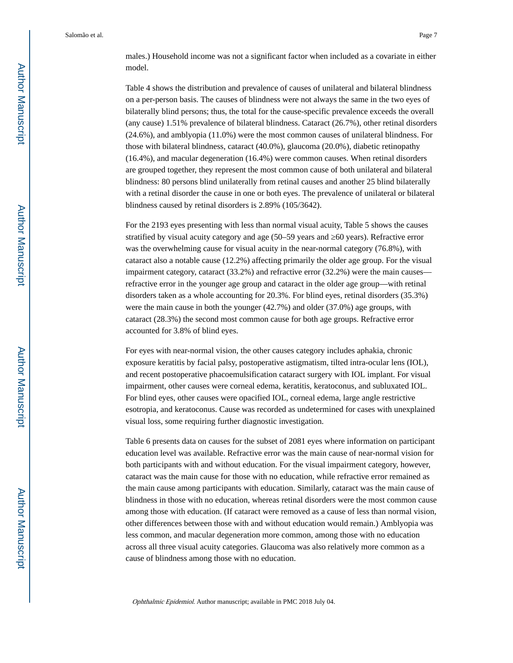Salomão et al. Page 7

males.) Household income was not a significant factor when included as a covariate in either model.

Table 4 shows the distribution and prevalence of causes of unilateral and bilateral blindness on a per-person basis. The causes of blindness were not always the same in the two eyes of bilaterally blind persons; thus, the total for the cause-specific prevalence exceeds the overall (any cause) 1.51% prevalence of bilateral blindness. Cataract (26.7%), other retinal disorders (24.6%), and amblyopia (11.0%) were the most common causes of unilateral blindness. For those with bilateral blindness, cataract (40.0%), glaucoma (20.0%), diabetic retinopathy (16.4%), and macular degeneration (16.4%) were common causes. When retinal disorders are grouped together, they represent the most common cause of both unilateral and bilateral blindness: 80 persons blind unilaterally from retinal causes and another 25 blind bilaterally with a retinal disorder the cause in one or both eyes. The prevalence of unilateral or bilateral blindness caused by retinal disorders is 2.89% (105/3642).

For the 2193 eyes presenting with less than normal visual acuity, Table 5 shows the causes stratified by visual acuity category and age (50–59 years and  $\geq 60$  years). Refractive error was the overwhelming cause for visual acuity in the near-normal category (76.8%), with cataract also a notable cause (12.2%) affecting primarily the older age group. For the visual impairment category, cataract (33.2%) and refractive error (32.2%) were the main causes refractive error in the younger age group and cataract in the older age group—with retinal disorders taken as a whole accounting for 20.3%. For blind eyes, retinal disorders (35.3%) were the main cause in both the younger (42.7%) and older (37.0%) age groups, with cataract (28.3%) the second most common cause for both age groups. Refractive error accounted for 3.8% of blind eyes.

For eyes with near-normal vision, the other causes category includes aphakia, chronic exposure keratitis by facial palsy, postoperative astigmatism, tilted intra-ocular lens (IOL), and recent postoperative phacoemulsification cataract surgery with IOL implant. For visual impairment, other causes were corneal edema, keratitis, keratoconus, and subluxated IOL. For blind eyes, other causes were opacified IOL, corneal edema, large angle restrictive esotropia, and keratoconus. Cause was recorded as undetermined for cases with unexplained visual loss, some requiring further diagnostic investigation.

Table 6 presents data on causes for the subset of 2081 eyes where information on participant education level was available. Refractive error was the main cause of near-normal vision for both participants with and without education. For the visual impairment category, however, cataract was the main cause for those with no education, while refractive error remained as the main cause among participants with education. Similarly, cataract was the main cause of blindness in those with no education, whereas retinal disorders were the most common cause among those with education. (If cataract were removed as a cause of less than normal vision, other differences between those with and without education would remain.) Amblyopia was less common, and macular degeneration more common, among those with no education across all three visual acuity categories. Glaucoma was also relatively more common as a cause of blindness among those with no education.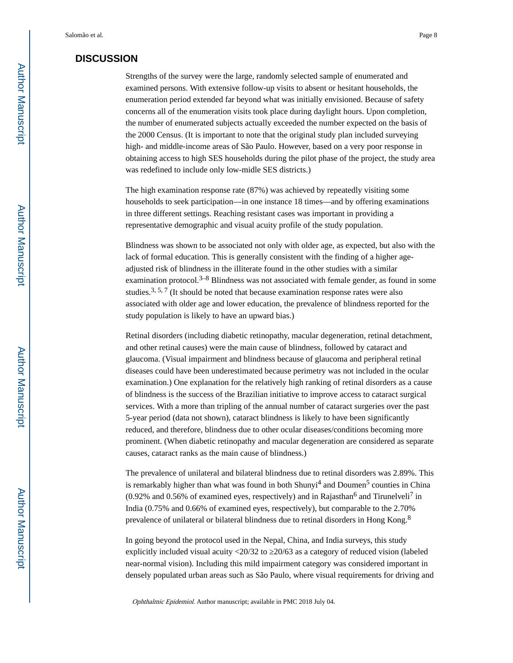#### **DISCUSSION**

Strengths of the survey were the large, randomly selected sample of enumerated and examined persons. With extensive follow-up visits to absent or hesitant households, the enumeration period extended far beyond what was initially envisioned. Because of safety concerns all of the enumeration visits took place during daylight hours. Upon completion, the number of enumerated subjects actually exceeded the number expected on the basis of the 2000 Census. (It is important to note that the original study plan included surveying high- and middle-income areas of São Paulo. However, based on a very poor response in obtaining access to high SES households during the pilot phase of the project, the study area was redefined to include only low-midle SES districts.)

The high examination response rate (87%) was achieved by repeatedly visiting some households to seek participation—in one instance 18 times—and by offering examinations in three different settings. Reaching resistant cases was important in providing a representative demographic and visual acuity profile of the study population.

Blindness was shown to be associated not only with older age, as expected, but also with the lack of formal education. This is generally consistent with the finding of a higher ageadjusted risk of blindness in the illiterate found in the other studies with a similar examination protocol.<sup>3–8</sup> Blindness was not associated with female gender, as found in some studies.<sup>3, 5, 7</sup> (It should be noted that because examination response rates were also associated with older age and lower education, the prevalence of blindness reported for the study population is likely to have an upward bias.)

Retinal disorders (including diabetic retinopathy, macular degeneration, retinal detachment, and other retinal causes) were the main cause of blindness, followed by cataract and glaucoma. (Visual impairment and blindness because of glaucoma and peripheral retinal diseases could have been underestimated because perimetry was not included in the ocular examination.) One explanation for the relatively high ranking of retinal disorders as a cause of blindness is the success of the Brazilian initiative to improve access to cataract surgical services. With a more than tripling of the annual number of cataract surgeries over the past 5-year period (data not shown), cataract blindness is likely to have been significantly reduced, and therefore, blindness due to other ocular diseases/conditions becoming more prominent. (When diabetic retinopathy and macular degeneration are considered as separate causes, cataract ranks as the main cause of blindness.)

The prevalence of unilateral and bilateral blindness due to retinal disorders was 2.89%. This is remarkably higher than what was found in both Shunyi<sup>4</sup> and Doumen<sup>5</sup> counties in China  $(0.92\%$  and  $0.56\%$  of examined eyes, respectively) and in Rajasthan<sup>6</sup> and Tirunelveli<sup>7</sup> in India (0.75% and 0.66% of examined eyes, respectively), but comparable to the 2.70% prevalence of unilateral or bilateral blindness due to retinal disorders in Hong Kong.<sup>8</sup>

In going beyond the protocol used in the Nepal, China, and India surveys, this study explicitly included visual acuity <20/32 to 20/63 as a category of reduced vision (labeled near-normal vision). Including this mild impairment category was considered important in densely populated urban areas such as São Paulo, where visual requirements for driving and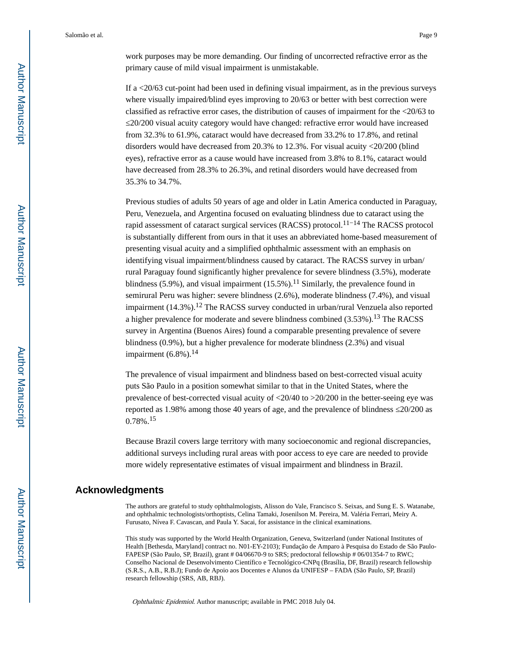work purposes may be more demanding. Our finding of uncorrected refractive error as the primary cause of mild visual impairment is unmistakable.

If a <20/63 cut-point had been used in defining visual impairment, as in the previous surveys where visually impaired/blind eyes improving to 20/63 or better with best correction were classified as refractive error cases, the distribution of causes of impairment for the <20/63 to ≤20/200 visual acuity category would have changed: refractive error would have increased from 32.3% to 61.9%, cataract would have decreased from 33.2% to 17.8%, and retinal disorders would have decreased from 20.3% to 12.3%. For visual acuity <20/200 (blind eyes), refractive error as a cause would have increased from 3.8% to 8.1%, cataract would have decreased from 28.3% to 26.3%, and retinal disorders would have decreased from 35.3% to 34.7%.

Previous studies of adults 50 years of age and older in Latin America conducted in Paraguay, Peru, Venezuela, and Argentina focused on evaluating blindness due to cataract using the rapid assessment of cataract surgical services (RACSS) protocol.11−14 The RACSS protocol is substantially different from ours in that it uses an abbreviated home-based measurement of presenting visual acuity and a simplified ophthalmic assessment with an emphasis on identifying visual impairment/blindness caused by cataract. The RACSS survey in urban/ rural Paraguay found significantly higher prevalence for severe blindness (3.5%), moderate blindness (5.9%), and visual impairment (15.5%).<sup>11</sup> Similarly, the prevalence found in semirural Peru was higher: severe blindness (2.6%), moderate blindness (7.4%), and visual impairment (14.3%).<sup>12</sup> The RACSS survey conducted in urban/rural Venzuela also reported a higher prevalence for moderate and severe blindness combined (3.53%).13 The RACSS survey in Argentina (Buenos Aires) found a comparable presenting prevalence of severe blindness (0.9%), but a higher prevalence for moderate blindness (2.3%) and visual impairment  $(6.8\%)$ .<sup>14</sup>

The prevalence of visual impairment and blindness based on best-corrected visual acuity puts São Paulo in a position somewhat similar to that in the United States, where the prevalence of best-corrected visual acuity of <20/40 to >20/200 in the better-seeing eye was reported as 1.98% among those 40 years of age, and the prevalence of blindness 20/200 as 0.78%.<sup>15</sup>

Because Brazil covers large territory with many socioeconomic and regional discrepancies, additional surveys including rural areas with poor access to eye care are needed to provide more widely representative estimates of visual impairment and blindness in Brazil.

#### **Acknowledgments**

The authors are grateful to study ophthalmologists, Alisson do Vale, Francisco S. Seixas, and Sung E. S. Watanabe, and ophthalmic technologists/orthoptists, Celina Tamaki, Josenilson M. Pereira, M. Valéria Ferrari, Meiry A. Furusato, Nívea F. Cavascan, and Paula Y. Sacai, for assistance in the clinical examinations.

This study was supported by the World Health Organization, Geneva, Switzerland (under National Institutes of Health [Bethesda, Maryland] contract no. N01-EY-2103); Fundação de Amparo à Pesquisa do Estado de São Paulo-FAPESP (São Paulo, SP, Brazil), grant # 04/06670-9 to SRS; predoctoral fellowship # 06/01354-7 to RWC; Conselho Nacional de Desenvolvimento Científico e Tecnológico-CNPq (Brasília, DF, Brazil) research fellowship (S.R.S., A.B., R.B.J); Fundo de Apoio aos Docentes e Alunos da UNIFESP – FADA (São Paulo, SP, Brazil) research fellowship (SRS, AB, RBJ).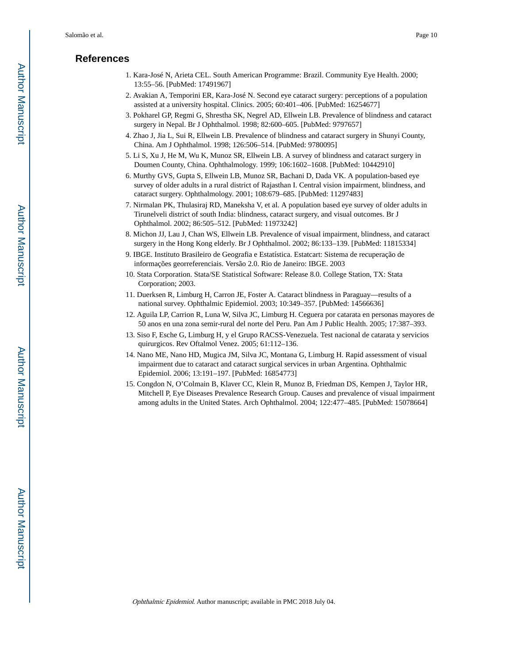#### **References**

- 1. Kara-José N, Arieta CEL. South American Programme: Brazil. Community Eye Health. 2000; 13:55–56. [PubMed: 17491967]
- 2. Avakian A, Temporini ER, Kara-José N. Second eye cataract surgery: perceptions of a population assisted at a university hospital. Clinics. 2005; 60:401–406. [PubMed: 16254677]
- 3. Pokharel GP, Regmi G, Shrestha SK, Negrel AD, Ellwein LB. Prevalence of blindness and cataract surgery in Nepal. Br J Ophthalmol. 1998; 82:600–605. [PubMed: 9797657]
- 4. Zhao J, Jia L, Sui R, Ellwein LB. Prevalence of blindness and cataract surgery in Shunyi County, China. Am J Ophthalmol. 1998; 126:506–514. [PubMed: 9780095]
- 5. Li S, Xu J, He M, Wu K, Munoz SR, Ellwein LB. A survey of blindness and cataract surgery in Doumen County, China. Ophthalmology. 1999; 106:1602–1608. [PubMed: 10442910]
- 6. Murthy GVS, Gupta S, Ellwein LB, Munoz SR, Bachani D, Dada VK. A population-based eye survey of older adults in a rural district of Rajasthan I. Central vision impairment, blindness, and cataract surgery. Ophthalmology. 2001; 108:679–685. [PubMed: 11297483]
- 7. Nirmalan PK, Thulasiraj RD, Maneksha V, et al. A population based eye survey of older adults in Tirunelveli district of south India: blindness, cataract surgery, and visual outcomes. Br J Ophthalmol. 2002; 86:505–512. [PubMed: 11973242]
- 8. Michon JJ, Lau J, Chan WS, Ellwein LB. Prevalence of visual impairment, blindness, and cataract surgery in the Hong Kong elderly. Br J Ophthalmol. 2002; 86:133–139. [PubMed: 11815334]
- 9. IBGE. Instituto Brasileiro de Geografia e Estatística. Estatcart: Sistema de recuperação de informações georreferenciais. Versão 2.0. Rio de Janeiro: IBGE. 2003
- 10. Stata Corporation. Stata/SE Statistical Software: Release 8.0. College Station, TX: Stata Corporation; 2003.
- 11. Duerksen R, Limburg H, Carron JE, Foster A. Cataract blindness in Paraguay—results of a national survey. Ophthalmic Epidemiol. 2003; 10:349–357. [PubMed: 14566636]
- 12. Aguila LP, Carrion R, Luna W, Silva JC, Limburg H. Ceguera por catarata en personas mayores de 50 anos en una zona semir-rural del norte del Peru. Pan Am J Public Health. 2005; 17:387–393.
- 13. Siso F, Esche G, Limburg H, y el Grupo RACSS-Venezuela. Test nacional de catarata y servicios quirurgicos. Rev Oftalmol Venez. 2005; 61:112–136.
- 14. Nano ME, Nano HD, Mugica JM, Silva JC, Montana G, Limburg H. Rapid assessment of visual impairment due to cataract and cataract surgical services in urban Argentina. Ophthalmic Epidemiol. 2006; 13:191–197. [PubMed: 16854773]
- 15. Congdon N, O'Colmain B, Klaver CC, Klein R, Munoz B, Friedman DS, Kempen J, Taylor HR, Mitchell P, Eye Diseases Prevalence Research Group. Causes and prevalence of visual impairment among adults in the United States. Arch Ophthalmol. 2004; 122:477–485. [PubMed: 15078664]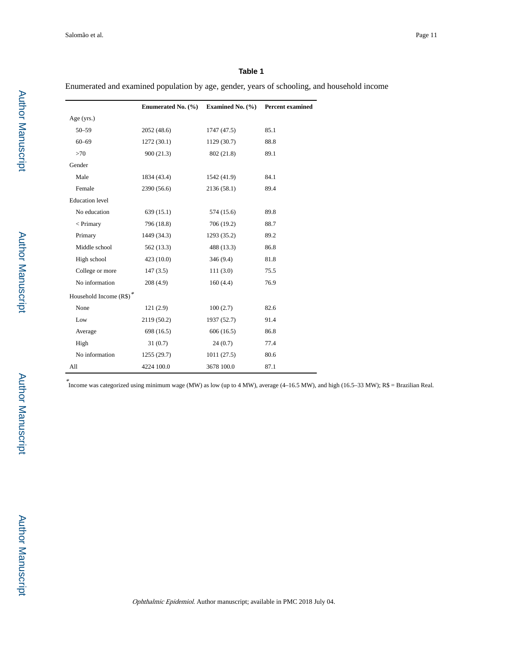Enumerated and examined population by age, gender, years of schooling, and household income

|                         | Enumerated No. $(\% )$ | Examined No. $(\% )$ | <b>Percent examined</b> |
|-------------------------|------------------------|----------------------|-------------------------|
| Age (yrs.)              |                        |                      |                         |
| $50 - 59$               | 2052(48.6)             | 1747(47.5)           | 85.1                    |
| $60 - 69$               | 1272(30.1)             | 1129(30.7)           | 88.8                    |
| >70                     | 900(21.3)              | 802 (21.8)           | 89.1                    |
| Gender                  |                        |                      |                         |
| Male                    | 1834 (43.4)            | 1542 (41.9)          | 84.1                    |
| Female                  | 2390 (56.6)            | 2136(58.1)           | 89.4                    |
| <b>Education</b> level  |                        |                      |                         |
| No education            | 639(15.1)              | 574 (15.6)           | 89.8                    |
| $<$ Primary             | 796 (18.8)             | 706 (19.2)           | 88.7                    |
| Primary                 | 1449 (34.3)            | 1293 (35.2)          | 89.2                    |
| Middle school           | 562 (13.3)             | 488 (13.3)           | 86.8                    |
| High school             | 423(10.0)              | 346(9.4)             | 81.8                    |
| College or more         | 147(3.5)               | 111(3.0)             | 75.5                    |
| No information          | 208(4.9)               | 160(4.4)             | 76.9                    |
| Household Income (R\$)* |                        |                      |                         |
| None                    | 121(2.9)               | 100(2.7)             | 82.6                    |
| Low                     | 2119 (50.2)            | 1937 (52.7)          | 91.4                    |
| Average                 | 698 (16.5)             | 606(16.5)            | 86.8                    |
| High                    | 31(0.7)                | 24(0.7)              | 77.4                    |
| No information          | 1255(29.7)             | 1011(27.5)           | 80.6                    |
| All                     | 4224 100.0             | 3678 100.0           | 87.1                    |

\* Income was categorized using minimum wage (MW) as low (up to 4 MW), average (4–16.5 MW), and high (16.5–33 MW); R\$ = Brazilian Real.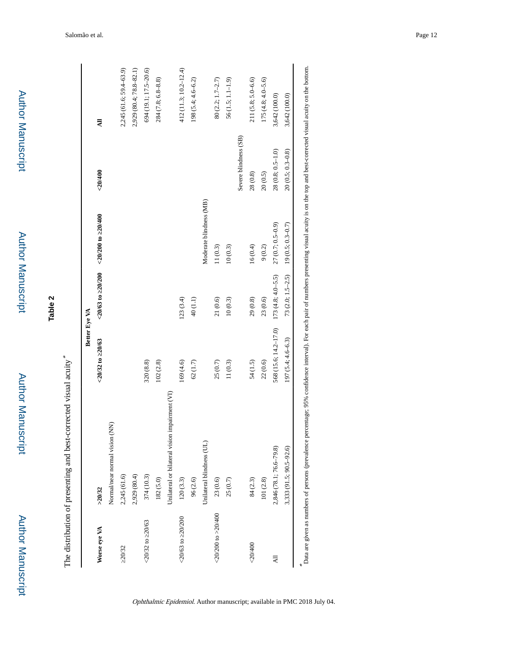| ٠      |
|--------|
|        |
|        |
|        |
|        |
|        |
|        |
| ï<br>í |
|        |
|        |
|        |
|        |
|        |
|        |
|        |
|        |
|        |
|        |
|        |
|        |
|        |
|        |
|        |
|        |
|        |
|        |
|        |
|        |
|        |
|        |
|        |
|        |
|        |
|        |
|        |
|        |
| ٠      |
|        |
|        |
|        |

The distribution of presenting and best-corrected visual acuity \*

| >20/32<br>Worse eye VA              |                                                |                       |                       |                                                  |                       |                         |
|-------------------------------------|------------------------------------------------|-----------------------|-----------------------|--------------------------------------------------|-----------------------|-------------------------|
|                                     |                                                | $-20/32$ to $20/63$   |                       | $< 20/63$ to $< 20/200$ $< 20/200$ to $< 20/400$ | < 20/400              | Ę                       |
|                                     | Normal/near normal vision (NN)                 |                       |                       |                                                  |                       |                         |
| 2,245 (61.6)<br>20/32               |                                                |                       |                       |                                                  |                       | 2,245 (61.6; 59.4-63.9) |
| 2,929 (80.4)                        |                                                |                       |                       |                                                  |                       | 2,929 (80.4; 78.8-82.1) |
| 374 (10.3)<br>$20/32$ to $20/63$    |                                                | 320 (8.8)             |                       |                                                  |                       | 694 (19.1; 17.5-20.6)   |
| 182(5.0)                            |                                                | 102(2.8)              |                       |                                                  |                       | $284(7.8; 6.8-8.8)$     |
|                                     | Unilateral or bilateral vision impairment (VI) |                       |                       |                                                  |                       |                         |
| 120(3.3)<br>$<$ 20/63 to 20/200     |                                                | 169 (4.6)             | 123(3.4)              |                                                  |                       | 412 (11.3; 10.2-12.4)   |
| 96 (2.6)                            |                                                | 62(1.7)               | 40(1.1)               |                                                  |                       | $198(5.4; 4.6 - 6.2)$   |
|                                     | Unilateral blindness (UL)                      |                       |                       | Moderate blindness (MB)                          |                       |                         |
| 23(0.6)<br>$<$ 20/200 to $>$ 20/400 |                                                | 25 (0.7)              | 21(0.6)               | 11(0.3)                                          |                       | 80 (2.2; 1.7-2.7)       |
| 25(0.7)                             |                                                | 11(0.3)               | 10(0.3)               | 10(0.3)                                          |                       | $56(1.5; 1.1 - 1.9)$    |
|                                     |                                                |                       |                       |                                                  | Severe blindness (SB) |                         |
| 84(2.3)<br>< 20/400                 |                                                | 54 (1.5)              | 29(0.8)               | 16(0.4)                                          | 28(0.8)               | $211(5.8; 5.0 - 6.6)$   |
| 101(2.8)                            |                                                | 22(0.6)               | 23(0.6)               | $9(0.2)$                                         | 20(0.5)               | $175(4.8; 4.0 - 5.6)$   |
| ㅋ                                   | 2,846 (78.1; 76.6–79.8)                        | 568 (15.6; 14.2-17.0) | $173(4.8; 4.0 - 5.5)$ | $27(0.7; 0.5-0.9)$                               | 28 (0.8; 0.5-1.0)     | 3,642 (100.0)           |
|                                     | 3,333 (91.5; 90.5-92.6)                        | $197(5.4; 4.6 - 6.3)$ | $73(2.0; 1.5-2.5)$    | $19(0.5; 0.3 - 0.7)$                             | $20(0.5; 0.3 - 0.8)$  | 3,642 (100.0)           |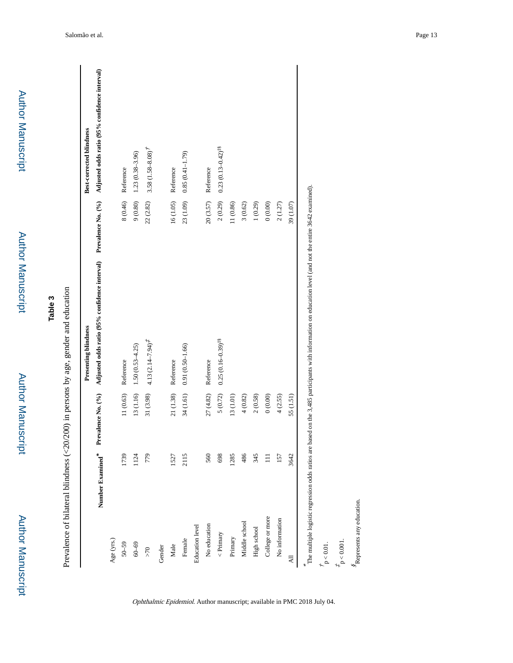| <b>שוחפטומו ומוטרי</b><br>į |  |
|-----------------------------|--|
| ומנו ומונמו וממרות ה        |  |

Author Manuscript

Author Manuscript

# **Table 3**

Prevalence of bilateral blindness (<20/200) in persons by age, gender and education Prevalence of bilateral blindness (<20/200) in persons by age, gender and education

|                        |      |                                     | Presenting blindness                                                                                                                                    |             | <b>Best-corrected blindness</b> |
|------------------------|------|-------------------------------------|---------------------------------------------------------------------------------------------------------------------------------------------------------|-------------|---------------------------------|
|                        |      | Number Examined* Prevalence No. (%) | Adjusted odds ratio (95% confidence interval) Prevalence No. (%) Adjusted odds ratio (95% confidence interval)                                          |             |                                 |
| Age (yrs.)             |      |                                     |                                                                                                                                                         |             |                                 |
| $50 - 59$              | 1739 |                                     | 11 (0.63) Reference                                                                                                                                     |             | 8 (0.46) Reference              |
| $60 - 69$              | 1124 |                                     | $13(1.16)$ $1.50(0.53-4.25)$                                                                                                                            | 9(0.80)     | $1.23(0.38 - 3.96)$             |
| ${>}70$                | 779  | 31 (3.98)                           | $4.13(2.14 - 7.94)^{2}$                                                                                                                                 | 22 (2.82)   | $3.58(1.58 - 8.08)^{7}$         |
| Gender                 |      |                                     |                                                                                                                                                         |             |                                 |
| Male                   | 1527 |                                     | 21 (1.38) Reference                                                                                                                                     |             | 16 (1.05) Reference             |
| Female                 | 2115 |                                     | 34 (1.61) 0.91 (0.50-1.66)                                                                                                                              |             | $23(1.09)$ 0.85 $(0.41-1.79)$   |
| <b>Education level</b> |      |                                     |                                                                                                                                                         |             |                                 |
| No education           | 560  | 27(4.82)                            | Reference                                                                                                                                               |             | $20(3.57)$ Reference            |
| $\langle$ Primary      | 698  | $5(0.72)$                           | $0.25(0.16-0.39)^{48}$                                                                                                                                  | 2(0.29)     | $0.23(0.13 - 0.42)^{18}$        |
| Primary                | 1285 | 13(1.01)                            |                                                                                                                                                         | 11 (0.86)   |                                 |
| Middle school          | 486  | 4(0.82)                             |                                                                                                                                                         | 3(0.62)     |                                 |
| High school            | 345  | 2(0.58)                             |                                                                                                                                                         | 1(0.29)     |                                 |
| College or more        |      | 0(0.00)                             |                                                                                                                                                         | $0\,(0.00)$ |                                 |
| No information         | 157  | 4(2.55)                             |                                                                                                                                                         | 2(1.27)     |                                 |
| $\overline{AB}$        | 3642 | 55 (1.51)                           |                                                                                                                                                         | 39 (1.07)   |                                 |
|                        |      |                                     | The multiple logistic regression odds ratios are based on the 3.485 participants with information on education level (and not the entire 3642 examined) |             |                                 |

The multiple logistic regression odds ratios are based on the 3,485 participants with information on education level (and not the entire 3642 examined).

 $\frac{t}{p}$  < 0.01.

 $t_{\rm p}$  < 0.001.

 $\stackrel{\text{\normalsize S}}{s}$  Represents any education. Represents any education.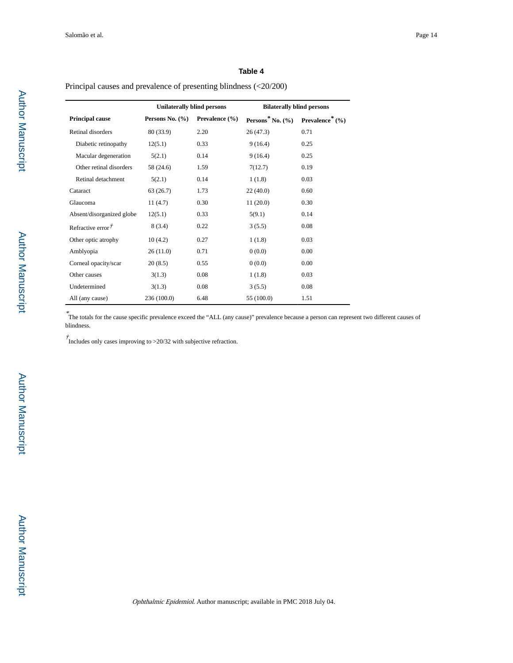Principal causes and prevalence of presenting blindness (<20/200)

|                            | <b>Unilaterally blind persons</b> |                | <b>Bilaterally blind persons</b> |                             |
|----------------------------|-----------------------------------|----------------|----------------------------------|-----------------------------|
| <b>Principal cause</b>     | Persons No. $(\% )$               | Prevalence (%) | Persons <sup>*</sup> No. $(\%$   | Prevalence <sup>*</sup> (%) |
| Retinal disorders          | 80 (33.9)                         | 2.20           | 26 (47.3)                        | 0.71                        |
| Diabetic retinopathy       | 12(5.1)                           | 0.33           | 9(16.4)                          | 0.25                        |
| Macular degeneration       | 5(2.1)                            | 0.14           | 9(16.4)                          | 0.25                        |
| Other retinal disorders    | 58 (24.6)                         | 1.59           | 7(12.7)                          | 0.19                        |
| Retinal detachment         | 5(2.1)                            | 0.14           | 1(1.8)                           | 0.03                        |
| Cataract                   | 63 (26.7)                         | 1.73           | 22(40.0)                         | 0.60                        |
| Glaucoma                   | 11(4.7)                           | 0.30           | 11(20.0)                         | 0.30                        |
| Absent/disorganized globe  | 12(5.1)                           | 0.33           | 5(9.1)                           | 0.14                        |
| Refractive error $\dot{r}$ | 8(3.4)                            | 0.22           | 3(5.5)                           | 0.08                        |
| Other optic atrophy        | 10(4.2)                           | 0.27           | 1(1.8)                           | 0.03                        |
| Amblyopia                  | 26(11.0)                          | 0.71           | 0(0.0)                           | 0.00                        |
| Corneal opacity/scar       | 20(8.5)                           | 0.55           | 0(0.0)                           | 0.00                        |
| Other causes               | 3(1.3)                            | 0.08           | 1(1.8)                           | 0.03                        |
| Undetermined               | 3(1.3)                            | 0.08           | 3(5.5)                           | 0.08                        |
| All (any cause)            | 236 (100.0)                       | 6.48           | 55 (100.0)                       | 1.51                        |

\* The totals for the cause specific prevalence exceed the "ALL (any cause)" prevalence because a person can represent two different causes of blindness.

 $\dot{T}$ Includes only cases improving to >20/32 with subjective refraction.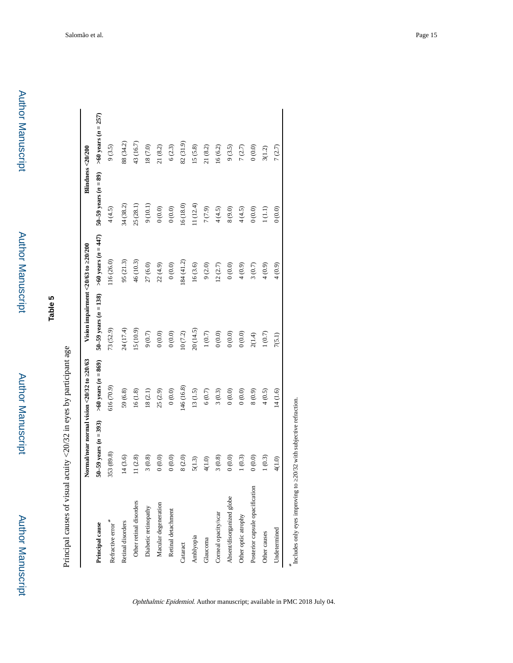Author Manuscript

**Author Manuscript** 

Author Manuscript

Author Manuscript

**Table 5**

Principal causes of visual acuity <20/32 in eyes by participant age Principal causes of visual acuity <20/32 in eyes by participant age

|                                 | Normal/near normal vision <20/32 to 20/63 |                           | Vision impairment <20/63 to 20/200 |                       | Blindness <20/200        |                       |
|---------------------------------|-------------------------------------------|---------------------------|------------------------------------|-----------------------|--------------------------|-----------------------|
| Principal cause                 | $50-59$ years $(n = 393)$                 | $>60$ years ( $n = 869$ ) | $50-59$ years $(n = 138)$          | $>60$ years (n = 447) | $50-59$ years $(n = 89)$ | $>60$ years (n = 257) |
| Refractive error $\!^*$         | 353 (89.8)                                | 616 (70.9)                | 73 (52.9)                          | 116(26.0)             | 4(4.5)                   | 9(3.5)                |
| Retinal disorders               | 14(3.6)                                   | 59(6.8)                   | 24 (17.4)                          | 95 (21.3)             | 34 (38.2)                | 88 (34.2)             |
| Other retinal disorders         | 11(2.8)                                   | $16(1.8)$                 | 15 (10.9)                          | 46 (10.3)             | 25 (28.1)                | 43 (16.7)             |
| Diabetic retinopathy            | 3(0.8)                                    | 18(2.1)                   | $9(0.7)$                           | 27(6.0)               | 9(10.1)                  | $18(7.0)$             |
| Macular degeneration            | 0(0.0)                                    | 25(2.9)                   | $0\,(0.0)$                         | 22(4.9)               | $0\,(0.0)$               | 21(8.2)               |
| Retinal detachment              | 0(0.0)                                    | $0.00$                    | $0.000$                            | $0.000$               | $0\,(0.0)$               | 6(2.3)                |
| Cataract                        | 8(2.0)                                    | 146 (16.8)                | $10\ (7.2)$                        | 184(41.2)             | 16(18.0)                 | 82(31.9)              |
| Amblyopia                       | 5(1.3)                                    | 13(1.5)                   | 20(14.5)                           | 16(3.6)               | 11(12.4)                 | 15(5.8)               |
| Glaucoma                        | 4(1.0)                                    | $6(0.7)$                  | $1\ (0.7)$                         | 9(2.0)                | $7(7.9)$                 | 21(8.2)               |
| Comeal opacity/scar             | 3(0.8)                                    | 3(0.3)                    | $0\,(0.0)$                         | 12(2.7)               | 4(4.5)                   | 16(6.2)               |
| Absent/disorganized globe       | (0.0, 0)                                  | $0.000$                   | $0\,(0.0)$                         | $0\,(0.0)$            | $8(9.0)$                 | 9(3.5)                |
| Other optic atrophy             | 1(0.3)                                    | $0.000$                   | $0.000$                            | 4(0.9)                | 4(4.5)                   | 7(2.7)                |
| Posterior capsule opacification | (0.0, 0)                                  | (6.0, 8)                  | 2(1.4)                             | 3(0.7)                | 0(0.0)                   | 0(0.0)                |
| Other causes                    | 1(0.3)                                    | 4(0.5)                    | $1(0.7)$                           | 4(0.9)                | 1(1.1)                   | 3(1.2)                |
| Undetermined                    | 4(1.0)                                    | 14 (1.6)                  | 7(5.1)                             | 4(0.9)                | 0(0.0)                   | 7(2.7)                |
| Includes only eyes improving to | 20/32 with subjective refraction.         |                           |                                    |                       |                          |                       |

Ophthalmic Epidemiol. Author manuscript; available in PMC 2018 July 04.